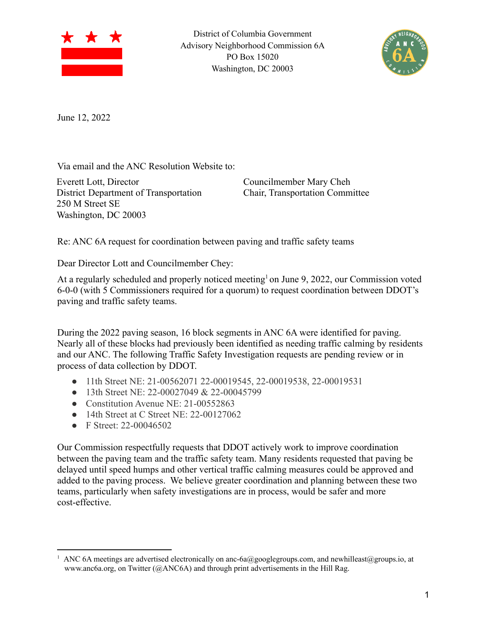

District of Columbia Government Advisory Neighborhood Commission 6A PO Box 15020 Washington, DC 20003



June 12, 2022

Via email and the ANC Resolution Website to:

Everett Lott, Director District Department of Transportation 250 M Street SE Washington, DC 20003

Councilmember Mary Cheh Chair, Transportation Committee

Re: ANC 6A request for coordination between paving and traffic safety teams

Dear Director Lott and Councilmember Chey:

At a regularly scheduled and properly noticed meeting<sup>1</sup> on June 9, 2022, our Commission voted 6-0-0 (with 5 Commissioners required for a quorum) to request coordination between DDOT's paving and traffic safety teams.

During the 2022 paving season, 16 block segments in ANC 6A were identified for paving. Nearly all of these blocks had previously been identified as needing traffic calming by residents and our ANC. The following Traffic Safety Investigation requests are pending review or in process of data collection by DDOT.

- 11th Street NE: 21-00562071 22-00019545, 22-00019538, 22-00019531
- 13th Street NE: 22-00027049 & 22-00045799
- Constitution Avenue NE: 21-00552863
- 14th Street at C Street NE: 22-00127062
- F Street: 22-00046502

Our Commission respectfully requests that DDOT actively work to improve coordination between the paving team and the traffic safety team. Many residents requested that paving be delayed until speed humps and other vertical traffic calming measures could be approved and added to the paving process. We believe greater coordination and planning between these two teams, particularly when safety investigations are in process, would be safer and more cost-effective.

<sup>&</sup>lt;sup>1</sup> ANC 6A meetings are advertised electronically on anc-6a@googlegroups.com, and newhilleast@groups.io, at www.anc6a.org, on Twitter (@ANC6A) and through print advertisements in the Hill Rag.